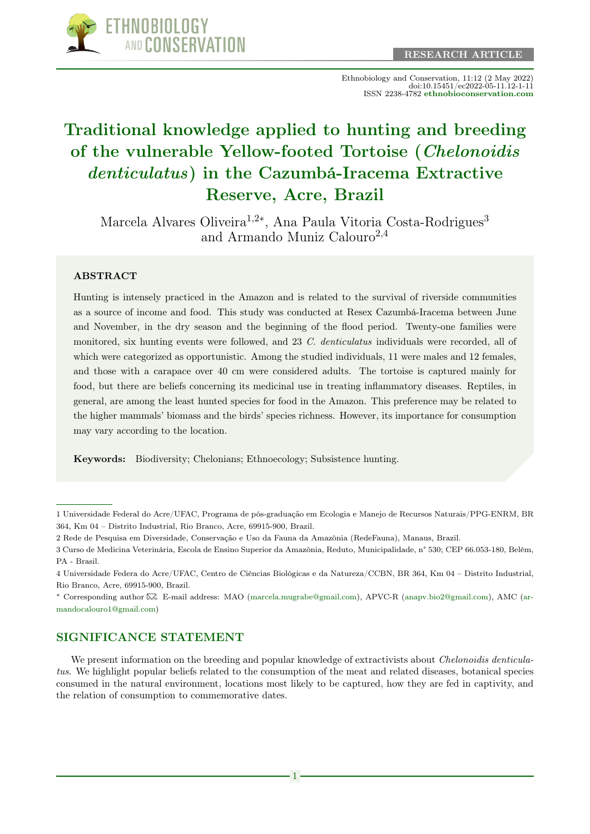

Ethnobiology and Conservation, 11:12 (2 May 2022) doi:10.15451/ec2022-05-11.12-1-11 ISSN 2238-4782 [ethnobioconservation.com](https://ethnobioconservation.com/index.php/ebc)

# [Traditional knowledge applied to hunting and breeding](https://ethnobioconservation.com/index.php/ebc/article/view/634) [of the vulnerable Yellow-footed Tortoise \(](https://ethnobioconservation.com/index.php/ebc/article/view/634)Chelonoidis denticulatus[\) in the Cazumbá-Iracema Extractive](https://ethnobioconservation.com/index.php/ebc/article/view/634) [Reserve, Acre, Brazil](https://ethnobioconservation.com/index.php/ebc/article/view/634)

Marcela Alvares Oliveira<sup>1,2∗</sup>, Ana Paula Vitoria Costa-Rodrigues<sup>3</sup> and Armando Muniz Calouro<sup>2,4</sup>

#### ABSTRACT

Hunting is intensely practiced in the Amazon and is related to the survival of riverside communities as a source of income and food. This study was conducted at Resex Cazumbá-Iracema between June and November, in the dry season and the beginning of the flood period. Twenty-one families were monitored, six hunting events were followed, and 23 C. denticulatus individuals were recorded, all of which were categorized as opportunistic. Among the studied individuals, 11 were males and 12 females, and those with a carapace over 40 cm were considered adults. The tortoise is captured mainly for food, but there are beliefs concerning its medicinal use in treating inflammatory diseases. Reptiles, in general, are among the least hunted species for food in the Amazon. This preference may be related to the higher mammals' biomass and the birds' species richness. However, its importance for consumption may vary according to the location.

Keywords: Biodiversity; Chelonians; Ethnoecology; Subsistence hunting.

2 Rede de Pesquisa em Diversidade, Conservação e Uso da Fauna da Amazônia (RedeFauna), Manaus, Brazil.

<sup>∗</sup> Corresponding author [.](mailto:ruansoto@yahoo.com.mx) E-mail address: MAO [\(marcela.mugrabe@gmail.com\)](mailto:marcela.mugrabe@gmail.com), APVC-R [\(anapv.bio2@gmail.com\)](mailto:anapv.bio2@gmail.com), AMC [\(ar](mailto:armandocalouro1@gmail.com)[mandocalouro1@gmail.com\)](mailto:armandocalouro1@gmail.com)

### SIGNIFICANCE STATEMENT

We present information on the breeding and popular knowledge of extractivists about *Chelonoidis denticula*tus. We highlight popular beliefs related to the consumption of the meat and related diseases, botanical species consumed in the natural environment, locations most likely to be captured, how they are fed in captivity, and the relation of consumption to commemorative dates.

<sup>1</sup> Universidade Federal do Acre/UFAC, Programa de pós-graduação em Ecologia e Manejo de Recursos Naturais/PPG-ENRM, BR 364, Km 04 – Distrito Industrial, Rio Branco, Acre, 69915-900, Brazil.

<sup>3</sup> Curso de Medicina Veterinária, Escola de Ensino Superior da Amazônia, Reduto, Municipalidade, n° 530; CEP 66.053-180, Belém, PA - Brasil.

<sup>4</sup> Universidade Federa do Acre/UFAC, Centro de Ciências Biológicas e da Natureza/CCBN, BR 364, Km 04 – Distrito Industrial, Rio Branco, Acre, 69915-900, Brazil.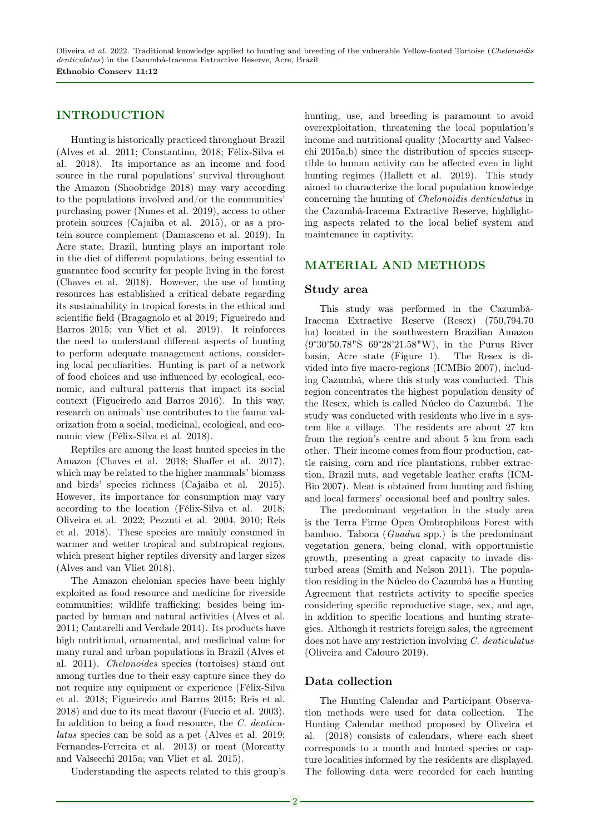Oliveira et al. 2022. Traditional knowledge applied to hunting and breeding of the vulnerable Yellow-footed Tortoise (Chelonoidis denticulatus) in the Cazumbá-Iracema Extractive Reserve, Acre, Brazil Ethnobio Conserv 11:12

#### INTRODUCTION

Hunting is historically practiced throughout Brazil (Alves et al. 2011; Constantino, 2018; Félix-Silva et al. 2018). Its importance as an income and food source in the rural populations' survival throughout the Amazon (Shoobridge 2018) may vary according to the populations involved and/or the communities' purchasing power (Nunes et al. 2019), access to other protein sources (Cajaiba et al. 2015), or as a protein source complement (Damasceno et al. 2019). In Acre state, Brazil, hunting plays an important role in the diet of different populations, being essential to guarantee food security for people living in the forest (Chaves et al. 2018). However, the use of hunting resources has established a critical debate regarding its sustainability in tropical forests in the ethical and scientific field (Bragagnolo et al 2019; Figueiredo and Barros 2015; van Vliet et al. 2019). It reinforces the need to understand different aspects of hunting to perform adequate management actions, considering local peculiarities. Hunting is part of a network of food choices and use influenced by ecological, economic, and cultural patterns that impact its social context (Figueiredo and Barros 2016). In this way, research on animals' use contributes to the fauna valorization from a social, medicinal, ecological, and economic view (Félix-Silva et al. 2018).

Reptiles are among the least hunted species in the Amazon (Chaves et al. 2018; Shaffer et al. 2017), which may be related to the higher mammals' biomass and birds' species richness (Cajaiba et al. 2015). However, its importance for consumption may vary according to the location (Félix-Silva et al. 2018; Oliveira et al. 2022; Pezzuti et al. 2004, 2010; Reis et al. 2018). These species are mainly consumed in warmer and wetter tropical and subtropical regions, which present higher reptiles diversity and larger sizes (Alves and van Vliet 2018).

The Amazon chelonian species have been highly exploited as food resource and medicine for riverside communities; wildlife trafficking; besides being impacted by human and natural activities (Alves et al. 2011; Cantarelli and Verdade 2014). Its products have high nutritional, ornamental, and medicinal value for many rural and urban populations in Brazil (Alves et al. 2011). Chelonoides species (tortoises) stand out among turtles due to their easy capture since they do not require any equipment or experience (Félix-Silva et al. 2018; Figueiredo and Barros 2015; Reis et al. 2018) and due to its meat flavour (Fuccio et al. 2003). In addition to being a food resource, the C. denticulatus species can be sold as a pet (Alves et al. 2019; Fernandes-Ferreira et al. 2013) or meat (Morcatty and Valsecchi 2015a; van Vliet et al. 2015).

Understanding the aspects related to this group's

hunting, use, and breeding is paramount to avoid overexploitation, threatening the local population's income and nutritional quality (Mocartty and Valsecchi 2015a,b) since the distribution of species susceptible to human activity can be affected even in light hunting regimes (Hallett et al. 2019). This study aimed to characterize the local population knowledge concerning the hunting of Chelonoidis denticulatus in the Cazumbá-Iracema Extractive Reserve, highlighting aspects related to the local belief system and maintenance in captivity.

#### MATERIAL AND METHODS

#### Study area

This study was performed in the Cazumbá-Iracema Extractive Reserve (Resex) (750,794.70 ha) located in the southwestern Brazilian Amazon (9°30'50.78"S 69°28'21.58"W), in the Purus River basin, Acre state (Figure 1). The Resex is divided into five macro-regions (ICMBio 2007), including Cazumbá, where this study was conducted. This region concentrates the highest population density of the Resex, which is called Núcleo do Cazumbá. The study was conducted with residents who live in a system like a village. The residents are about 27 km from the region's centre and about 5 km from each other. Their income comes from flour production, cattle raising, corn and rice plantations, rubber extraction, Brazil nuts, and vegetable leather crafts (ICM-Bio 2007). Meat is obtained from hunting and fishing and local farmers' occasional beef and poultry sales.

The predominant vegetation in the study area is the Terra Firme Open Ombrophilous Forest with bamboo. Taboca (Guadua spp.) is the predominant vegetation genera, being clonal, with opportunistic growth, presenting a great capacity to invade disturbed areas (Smith and Nelson 2011). The population residing in the Núcleo do Cazumbá has a Hunting Agreement that restricts activity to specific species considering specific reproductive stage, sex, and age, in addition to specific locations and hunting strategies. Although it restricts foreign sales, the agreement does not have any restriction involving C. denticulatus (Oliveira and Calouro 2019).

#### Data collection

The Hunting Calendar and Participant Observation methods were used for data collection. The Hunting Calendar method proposed by Oliveira et al. (2018) consists of calendars, where each sheet corresponds to a month and hunted species or capture localities informed by the residents are displayed. The following data were recorded for each hunting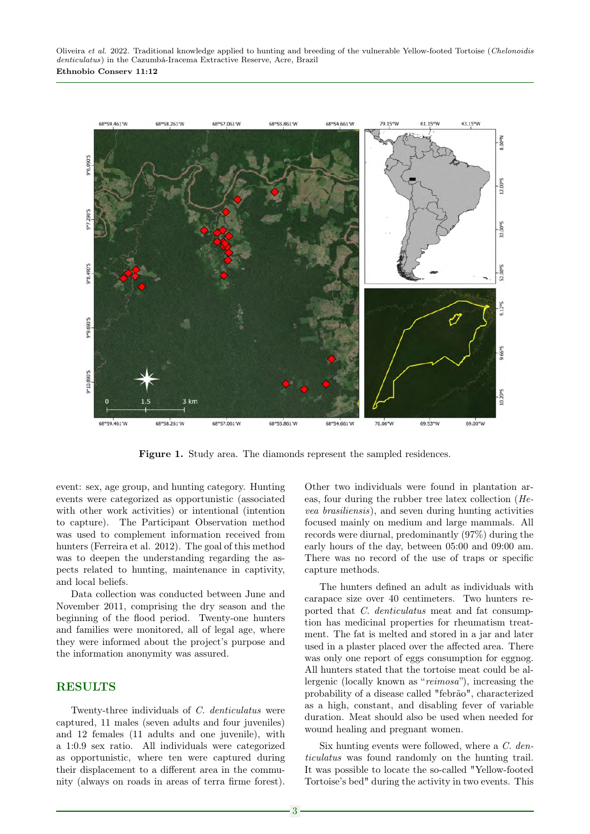

Figure 1. Study area. The diamonds represent the sampled residences.

event: sex, age group, and hunting category. Hunting events were categorized as opportunistic (associated with other work activities) or intentional (intention to capture). The Participant Observation method was used to complement information received from hunters (Ferreira et al. 2012). The goal of this method was to deepen the understanding regarding the aspects related to hunting, maintenance in captivity, and local beliefs.

Data collection was conducted between June and November 2011, comprising the dry season and the beginning of the flood period. Twenty-one hunters and families were monitored, all of legal age, where they were informed about the project's purpose and the information anonymity was assured.

#### RESULTS

Twenty-three individuals of C. denticulatus were captured, 11 males (seven adults and four juveniles) and 12 females (11 adults and one juvenile), with a 1:0.9 sex ratio. All individuals were categorized as opportunistic, where ten were captured during their displacement to a different area in the community (always on roads in areas of terra firme forest). Other two individuals were found in plantation areas, four during the rubber tree latex collection (Hevea brasiliensis), and seven during hunting activities focused mainly on medium and large mammals. All records were diurnal, predominantly (97%) during the early hours of the day, between 05:00 and 09:00 am. There was no record of the use of traps or specific capture methods.

The hunters defined an adult as individuals with carapace size over 40 centimeters. Two hunters reported that C. denticulatus meat and fat consumption has medicinal properties for rheumatism treatment. The fat is melted and stored in a jar and later used in a plaster placed over the affected area. There was only one report of eggs consumption for eggnog. All hunters stated that the tortoise meat could be allergenic (locally known as "reimosa"), increasing the probability of a disease called "febrão", characterized as a high, constant, and disabling fever of variable duration. Meat should also be used when needed for wound healing and pregnant women.

Six hunting events were followed, where a C. denticulatus was found randomly on the hunting trail. It was possible to locate the so-called "Yellow-footed Tortoise's bed" during the activity in two events. This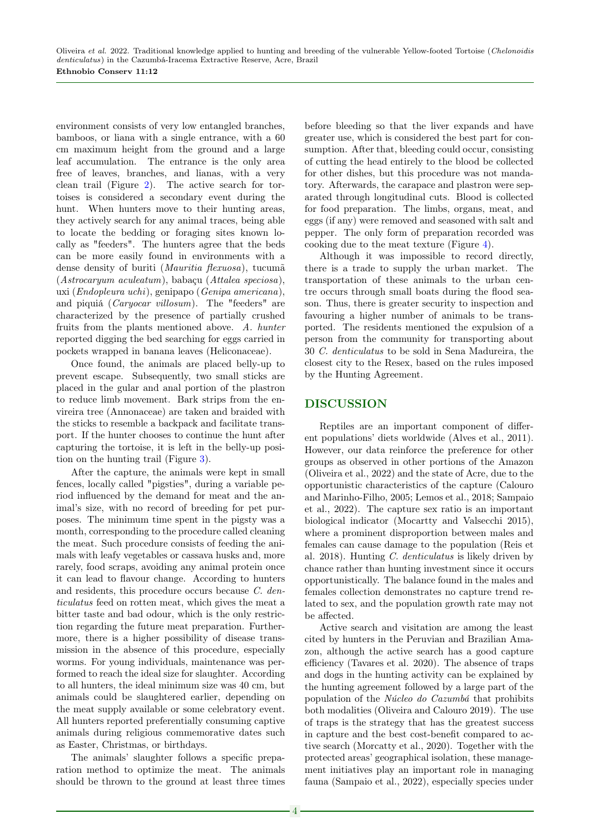environment consists of very low entangled branches, bamboos, or liana with a single entrance, with a 60 cm maximum height from the ground and a large leaf accumulation. The entrance is the only area free of leaves, branches, and lianas, with a very clean trail (Figure [2\)](#page-4-0). The active search for tortoises is considered a secondary event during the hunt. When hunters move to their hunting areas, they actively search for any animal traces, being able to locate the bedding or foraging sites known locally as "feeders". The hunters agree that the beds can be more easily found in environments with a dense density of buriti (Mauritia flexuosa), tucumã (Astrocaryum aculeatum), babaçu (Attalea speciosa), uxi (Endopleura uchi), genipapo (Genipa americana), and piquiá (Caryocar villosum). The "feeders" are characterized by the presence of partially crushed fruits from the plants mentioned above. A. hunter reported digging the bed searching for eggs carried in pockets wrapped in banana leaves (Heliconaceae).

Once found, the animals are placed belly-up to prevent escape. Subsequently, two small sticks are placed in the gular and anal portion of the plastron to reduce limb movement. Bark strips from the envireira tree (Annonaceae) are taken and braided with the sticks to resemble a backpack and facilitate transport. If the hunter chooses to continue the hunt after capturing the tortoise, it is left in the belly-up position on the hunting trail (Figure [3\)](#page-4-1).

After the capture, the animals were kept in small fences, locally called "pigsties", during a variable period influenced by the demand for meat and the animal's size, with no record of breeding for pet purposes. The minimum time spent in the pigsty was a month, corresponding to the procedure called cleaning the meat. Such procedure consists of feeding the animals with leafy vegetables or cassava husks and, more rarely, food scraps, avoiding any animal protein once it can lead to flavour change. According to hunters and residents, this procedure occurs because C. denticulatus feed on rotten meat, which gives the meat a bitter taste and bad odour, which is the only restriction regarding the future meat preparation. Furthermore, there is a higher possibility of disease transmission in the absence of this procedure, especially worms. For young individuals, maintenance was performed to reach the ideal size for slaughter. According to all hunters, the ideal minimum size was 40 cm, but animals could be slaughtered earlier, depending on the meat supply available or some celebratory event. All hunters reported preferentially consuming captive animals during religious commemorative dates such as Easter, Christmas, or birthdays.

The animals' slaughter follows a specific preparation method to optimize the meat. The animals should be thrown to the ground at least three times before bleeding so that the liver expands and have greater use, which is considered the best part for consumption. After that, bleeding could occur, consisting of cutting the head entirely to the blood be collected for other dishes, but this procedure was not mandatory. Afterwards, the carapace and plastron were separated through longitudinal cuts. Blood is collected for food preparation. The limbs, organs, meat, and eggs (if any) were removed and seasoned with salt and pepper. The only form of preparation recorded was cooking due to the meat texture (Figure [4\)](#page-5-0).

Although it was impossible to record directly, there is a trade to supply the urban market. The transportation of these animals to the urban centre occurs through small boats during the flood season. Thus, there is greater security to inspection and favouring a higher number of animals to be transported. The residents mentioned the expulsion of a person from the community for transporting about 30 C. denticulatus to be sold in Sena Madureira, the closest city to the Resex, based on the rules imposed by the Hunting Agreement.

## DISCUSSION

Reptiles are an important component of different populations' diets worldwide (Alves et al., 2011). However, our data reinforce the preference for other groups as observed in other portions of the Amazon (Oliveira et al., 2022) and the state of Acre, due to the opportunistic characteristics of the capture (Calouro and Marinho-Filho, 2005; Lemos et al., 2018; Sampaio et al., 2022). The capture sex ratio is an important biological indicator (Mocartty and Valsecchi 2015), where a prominent disproportion between males and females can cause damage to the population (Reis et al. 2018). Hunting C. denticulatus is likely driven by chance rather than hunting investment since it occurs opportunistically. The balance found in the males and females collection demonstrates no capture trend related to sex, and the population growth rate may not be affected.

Active search and visitation are among the least cited by hunters in the Peruvian and Brazilian Amazon, although the active search has a good capture efficiency (Tavares et al. 2020). The absence of traps and dogs in the hunting activity can be explained by the hunting agreement followed by a large part of the population of the Núcleo do Cazumbá that prohibits both modalities (Oliveira and Calouro 2019). The use of traps is the strategy that has the greatest success in capture and the best cost-benefit compared to active search (Morcatty et al., 2020). Together with the protected areas' geographical isolation, these management initiatives play an important role in managing fauna (Sampaio et al., 2022), especially species under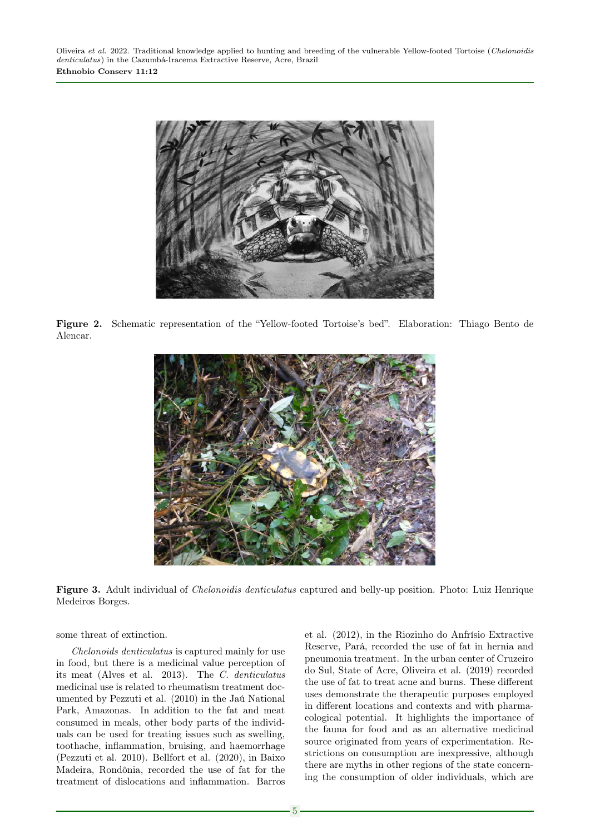<span id="page-4-0"></span>

Figure 2. Schematic representation of the "Yellow-footed Tortoise's bed". Elaboration: Thiago Bento de Alencar.

<span id="page-4-1"></span>

Figure 3. Adult individual of Chelonoidis denticulatus captured and belly-up position. Photo: Luiz Henrique Medeiros Borges.

some threat of extinction.

Chelonoids denticulatus is captured mainly for use in food, but there is a medicinal value perception of its meat (Alves et al. 2013). The C. denticulatus medicinal use is related to rheumatism treatment documented by Pezzuti et al. (2010) in the Jaú National Park, Amazonas. In addition to the fat and meat consumed in meals, other body parts of the individuals can be used for treating issues such as swelling, toothache, inflammation, bruising, and haemorrhage (Pezzuti et al. 2010). Bellfort et al. (2020), in Baixo Madeira, Rondônia, recorded the use of fat for the treatment of dislocations and inflammation. Barros

et al. (2012), in the Riozinho do Anfrísio Extractive Reserve, Pará, recorded the use of fat in hernia and pneumonia treatment. In the urban center of Cruzeiro do Sul, State of Acre, Oliveira et al. (2019) recorded the use of fat to treat acne and burns. These different uses demonstrate the therapeutic purposes employed in different locations and contexts and with pharmacological potential. It highlights the importance of the fauna for food and as an alternative medicinal source originated from years of experimentation. Restrictions on consumption are inexpressive, although there are myths in other regions of the state concerning the consumption of older individuals, which are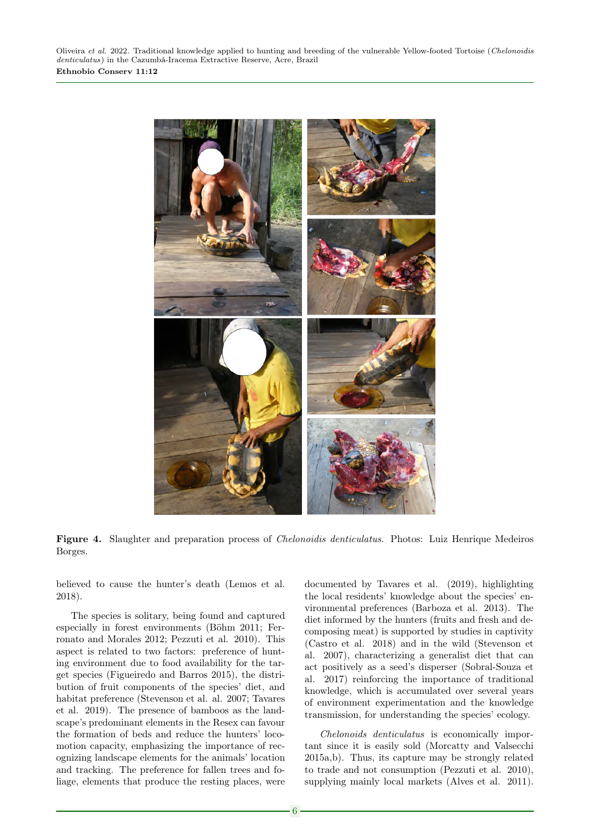Oliveira et al. 2022. Traditional knowledge applied to hunting and breeding of the vulnerable Yellow-footed Tortoise (Chelonoidis denticulatus) in the Cazumbá-Iracema Extractive Reserve, Acre, Brazil Ethnobio Conserv 11:12

<span id="page-5-0"></span>

Figure 4. Slaughter and preparation process of Chelonoidis denticulatus. Photos: Luiz Henrique Medeiros Borges.

believed to cause the hunter's death (Lemos et al. 2018).

The species is solitary, being found and captured especially in forest environments (Böhm 2011; Ferronato and Morales 2012; Pezzuti et al. 2010). This aspect is related to two factors: preference of hunting environment due to food availability for the target species (Figueiredo and Barros 2015), the distribution of fruit components of the species' diet, and habitat preference (Stevenson et al. al. 2007; Tavares et al. 2019). The presence of bamboos as the landscape's predominant elements in the Resex can favour the formation of beds and reduce the hunters' locomotion capacity, emphasizing the importance of recognizing landscape elements for the animals' location and tracking. The preference for fallen trees and foliage, elements that produce the resting places, were documented by Tavares et al. (2019), highlighting the local residents' knowledge about the species' environmental preferences (Barboza et al. 2013). The diet informed by the hunters (fruits and fresh and decomposing meat) is supported by studies in captivity (Castro et al. 2018) and in the wild (Stevenson et al. 2007), characterizing a generalist diet that can act positively as a seed's disperser (Sobral-Souza et al. 2017) reinforcing the importance of traditional knowledge, which is accumulated over several years of environment experimentation and the knowledge transmission, for understanding the species' ecology.

Chelonoids denticulatus is economically important since it is easily sold (Morcatty and Valsecchi 2015a,b). Thus, its capture may be strongly related to trade and not consumption (Pezzuti et al. 2010), supplying mainly local markets (Alves et al. 2011).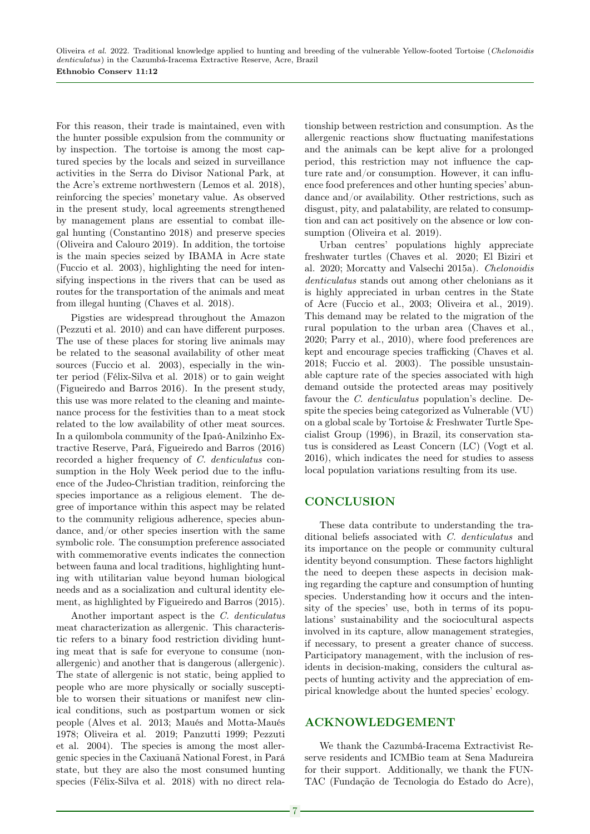For this reason, their trade is maintained, even with the hunter possible expulsion from the community or by inspection. The tortoise is among the most captured species by the locals and seized in surveillance activities in the Serra do Divisor National Park, at the Acre's extreme northwestern (Lemos et al. 2018), reinforcing the species' monetary value. As observed in the present study, local agreements strengthened by management plans are essential to combat illegal hunting (Constantino 2018) and preserve species (Oliveira and Calouro 2019). In addition, the tortoise is the main species seized by IBAMA in Acre state (Fuccio et al. 2003), highlighting the need for intensifying inspections in the rivers that can be used as routes for the transportation of the animals and meat from illegal hunting (Chaves et al. 2018).

Pigsties are widespread throughout the Amazon (Pezzuti et al. 2010) and can have different purposes. The use of these places for storing live animals may be related to the seasonal availability of other meat sources (Fuccio et al. 2003), especially in the winter period (Félix-Silva et al. 2018) or to gain weight (Figueiredo and Barros 2016). In the present study, this use was more related to the cleaning and maintenance process for the festivities than to a meat stock related to the low availability of other meat sources. In a quilombola community of the Ipaú-Anilzinho Extractive Reserve, Pará, Figueiredo and Barros (2016) recorded a higher frequency of C. denticulatus consumption in the Holy Week period due to the influence of the Judeo-Christian tradition, reinforcing the species importance as a religious element. The degree of importance within this aspect may be related to the community religious adherence, species abundance, and/or other species insertion with the same symbolic role. The consumption preference associated with commemorative events indicates the connection between fauna and local traditions, highlighting hunting with utilitarian value beyond human biological needs and as a socialization and cultural identity element, as highlighted by Figueiredo and Barros (2015).

Another important aspect is the C. denticulatus meat characterization as allergenic. This characteristic refers to a binary food restriction dividing hunting meat that is safe for everyone to consume (nonallergenic) and another that is dangerous (allergenic). The state of allergenic is not static, being applied to people who are more physically or socially susceptible to worsen their situations or manifest new clinical conditions, such as postpartum women or sick people (Alves et al. 2013; Maués and Motta-Maués 1978; Oliveira et al. 2019; Panzutti 1999; Pezzuti et al. 2004). The species is among the most allergenic species in the Caxiuanã National Forest, in Pará state, but they are also the most consumed hunting species (Félix-Silva et al. 2018) with no direct relationship between restriction and consumption. As the allergenic reactions show fluctuating manifestations and the animals can be kept alive for a prolonged period, this restriction may not influence the capture rate and/or consumption. However, it can influence food preferences and other hunting species' abundance and/or availability. Other restrictions, such as disgust, pity, and palatability, are related to consumption and can act positively on the absence or low consumption (Oliveira et al. 2019).

Urban centres' populations highly appreciate freshwater turtles (Chaves et al. 2020; El Biziri et al. 2020; Morcatty and Valsechi 2015a). Chelonoidis denticulatus stands out among other chelonians as it is highly appreciated in urban centres in the State of Acre (Fuccio et al., 2003; Oliveira et al., 2019). This demand may be related to the migration of the rural population to the urban area (Chaves et al., 2020; Parry et al., 2010), where food preferences are kept and encourage species trafficking (Chaves et al. 2018; Fuccio et al. 2003). The possible unsustainable capture rate of the species associated with high demand outside the protected areas may positively favour the *C. denticulatus* population's decline. Despite the species being categorized as Vulnerable (VU) on a global scale by Tortoise & Freshwater Turtle Specialist Group (1996), in Brazil, its conservation status is considered as Least Concern (LC) (Vogt et al. 2016), which indicates the need for studies to assess local population variations resulting from its use.

### **CONCLUSION**

These data contribute to understanding the traditional beliefs associated with C. denticulatus and its importance on the people or community cultural identity beyond consumption. These factors highlight the need to deepen these aspects in decision making regarding the capture and consumption of hunting species. Understanding how it occurs and the intensity of the species' use, both in terms of its populations' sustainability and the sociocultural aspects involved in its capture, allow management strategies, if necessary, to present a greater chance of success. Participatory management, with the inclusion of residents in decision-making, considers the cultural aspects of hunting activity and the appreciation of empirical knowledge about the hunted species' ecology.

## ACKNOWLEDGEMENT

We thank the Cazumbá-Iracema Extractivist Reserve residents and ICMBio team at Sena Madureira for their support. Additionally, we thank the FUN-TAC (Fundação de Tecnologia do Estado do Acre),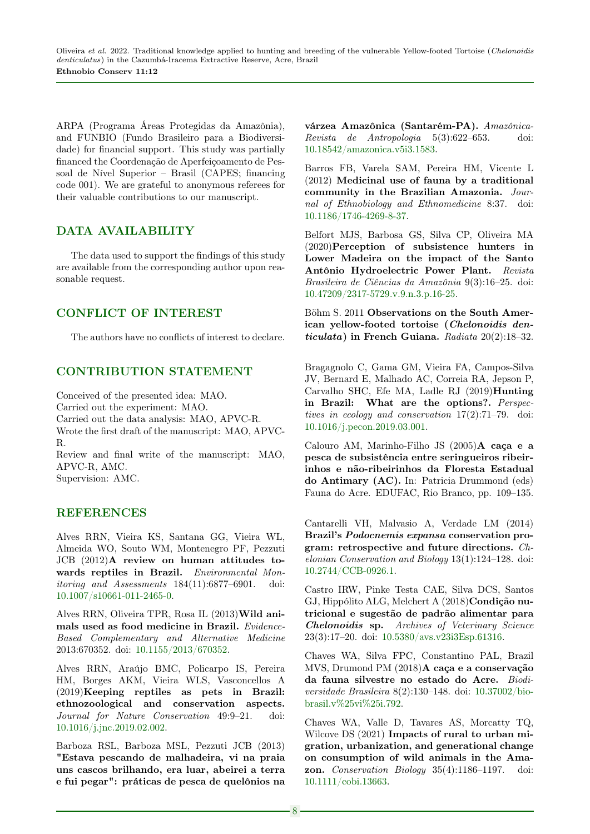ARPA (Programa Áreas Protegidas da Amazônia), and FUNBIO (Fundo Brasileiro para a Biodiversidade) for financial support. This study was partially financed the Coordenação de Aperfeiçoamento de Pessoal de Nível Superior – Brasil (CAPES; financing code 001). We are grateful to anonymous referees for their valuable contributions to our manuscript.

# DATA AVAILABILITY

The data used to support the findings of this study are available from the corresponding author upon reasonable request.

# CONFLICT OF INTEREST

The authors have no conflicts of interest to declare.

## CONTRIBUTION STATEMENT

Conceived of the presented idea: MAO. Carried out the experiment: MAO. Carried out the data analysis: MAO, APVC-R. Wrote the first draft of the manuscript: MAO, APVC-R. Review and final write of the manuscript: MAO, APVC-R, AMC.

Supervision: AMC.

## REFERENCES

Alves RRN, Vieira KS, Santana GG, Vieira WL, Almeida WO, Souto WM, Montenegro PF, Pezzuti JCB (2012)A review on human attitudes towards reptiles in Brazil. Environmental Monitoring and Assessments 184(11):6877–6901. doi: [10.1007/s10661-011-2465-0.](https://doi.org/10.1007/s10661-011-2465-0)

Alves RRN, Oliveira TPR, Rosa IL (2013)Wild animals used as food medicine in Brazil. Evidence-Based Complementary and Alternative Medicine 2013:670352. doi: [10.1155/2013/670352.](https://doi.org/10.1155/2013/670352)

Alves RRN, Araújo BMC, Policarpo IS, Pereira HM, Borges AKM, Vieira WLS, Vasconcellos A (2019)Keeping reptiles as pets in Brazil: ethnozoological and conservation aspects. Journal for Nature Conservation 49:9–21. doi: [10.1016/j.jnc.2019.02.002.](https://doi.org/10.1016/j.jnc.2019.02.002)

Barboza RSL, Barboza MSL, Pezzuti JCB (2013) "Estava pescando de malhadeira, vi na praia uns cascos brilhando, era luar, abeirei a terra e fui pegar": práticas de pesca de quelônios na várzea Amazônica (Santarém-PA). Amazônica-Revista de Antropologia 5(3):622–653. doi: [10.18542/amazonica.v5i3.1583.](https://doi.org/10.18542/amazonica.v5i3.1583)

Barros FB, Varela SAM, Pereira HM, Vicente L (2012) Medicinal use of fauna by a traditional community in the Brazilian Amazonia. Journal of Ethnobiology and Ethnomedicine 8:37. doi: [10.1186/1746-4269-8-37.](https://doi.org/10.1186/1746-4269-8-37)

Belfort MJS, Barbosa GS, Silva CP, Oliveira MA (2020)Perception of subsistence hunters in Lower Madeira on the impact of the Santo Antônio Hydroelectric Power Plant. Revista Brasileira de Ciências da Amazônia 9(3):16–25. doi: [10.47209/2317-5729.v.9.n.3.p.16-25.](https://doi.org/10.47209/2317-5729.v.9.n.3.p.16-25)

Böhm S. 2011 Observations on the South American yellow-footed tortoise (Chelonoidis denticulata) in French Guiana. Radiata 20(2):18–32.

Bragagnolo C, Gama GM, Vieira FA, Campos-Silva JV, Bernard E, Malhado AC, Correia RA, Jepson P, Carvalho SHC, Efe MA, Ladle RJ (2019)Hunting in Brazil: What are the options?. Perspectives in ecology and conservation 17(2):71–79. doi: [10.1016/j.pecon.2019.03.001.](https://doi.org/10.1016/j.pecon.2019.03.001)

Calouro AM, Marinho-Filho JS (2005)A caça e a pesca de subsistência entre seringueiros ribeirinhos e não-ribeirinhos da Floresta Estadual do Antimary (AC). In: Patricia Drummond (eds) Fauna do Acre. EDUFAC, Rio Branco, pp. 109–135.

Cantarelli VH, Malvasio A, Verdade LM (2014) Brazil's Podocnemis expansa conservation program: retrospective and future directions. Chelonian Conservation and Biology 13(1):124–128. doi: [10.2744/CCB-0926.1.](https://doi.org/10.2744/CCB-0926.1)

Castro IRW, Pinke Testa CAE, Silva DCS, Santos GJ, Hippólito ALG, Melchert A (2018)Condição nutricional e sugestão de padrão alimentar para Chelonoidis sp. Archives of Veterinary Science 23(3):17–20. doi: [10.5380/avs.v23i3Esp.61316.](https://doi.org/10.5380/avs.v23i3Esp.61316)

Chaves WA, Silva FPC, Constantino PAL, Brazil MVS, Drumond PM (2018)A caça e a conservação da fauna silvestre no estado do Acre. Biodiversidade Brasileira 8(2):130–148. doi: [10.37002/bio](https://doi.org/10.37002/biobrasil.v%25vi%25i.792)[brasil.v%25vi%25i.792.](https://doi.org/10.37002/biobrasil.v%25vi%25i.792)

Chaves WA, Valle D, Tavares AS, Morcatty TQ, Wilcove DS (2021) Impacts of rural to urban migration, urbanization, and generational change on consumption of wild animals in the Amazon. Conservation Biology 35(4):1186–1197. doi: [10.1111/cobi.13663.](https://doi.org/10.1111/cobi.13663)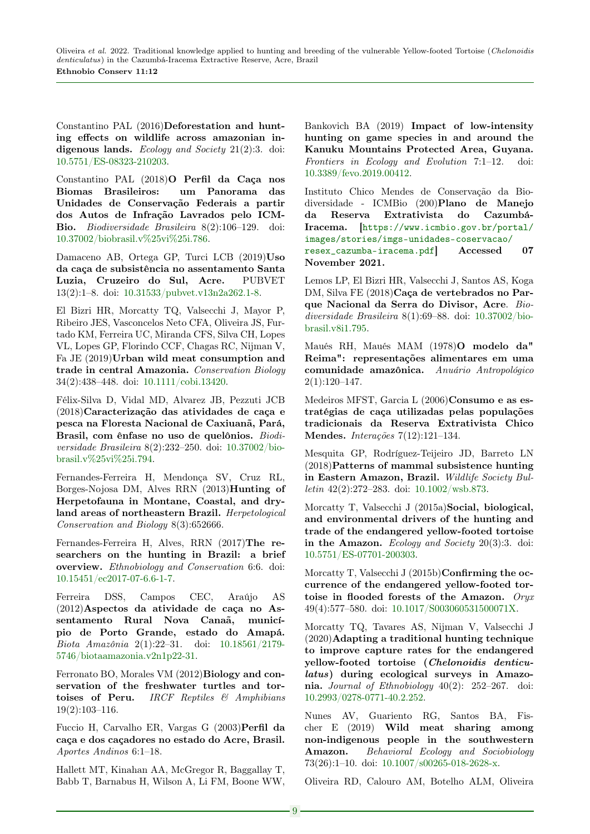Constantino PAL (2016)Deforestation and hunting effects on wildlife across amazonian indigenous lands. Ecology and Society 21(2):3. doi: [10.5751/ES-08323-210203.](https://doi.org/10.5751/ES-08323-210203)

Constantino PAL (2018)O Perfil da Caça nos Biomas Brasileiros: um Panorama das Unidades de Conservação Federais a partir dos Autos de Infração Lavrados pelo ICM-Bio. Biodiversidade Brasileira 8(2):106–129. doi: [10.37002/biobrasil.v%25vi%25i.786.](https://doi.org/10.37002/biobrasil.v%25vi%25i.786)

Damaceno AB, Ortega GP, Turci LCB (2019)Uso da caça de subsistência no assentamento Santa Luzia, Cruzeiro do Sul, Acre. PUBVET 13(2):1–8. doi: [10.31533/pubvet.v13n2a262.1-8.](https://doi.org/10.31533/pubvet.v13n2a262.1-8)

El Bizri HR, Morcatty TQ, Valsecchi J, Mayor P, Ribeiro JES, Vasconcelos Neto CFA, Oliveira JS, Furtado KM, Ferreira UC, Miranda CFS, Silva CH, Lopes VL, Lopes GP, Florindo CCF, Chagas RC, Nijman V, Fa JE (2019)Urban wild meat consumption and trade in central Amazonia. Conservation Biology 34(2):438–448. doi: [10.1111/cobi.13420.](https://doi.org/10.1111/cobi.13420)

Félix-Silva D, Vidal MD, Alvarez JB, Pezzuti JCB (2018)Caracterização das atividades de caça e pesca na Floresta Nacional de Caxiuanã, Pará, Brasil, com ênfase no uso de quelônios. Biodiversidade Brasileira 8(2):232–250. doi: [10.37002/bio](https://doi.org/10.37002/biobrasil.v%25vi%25i.794)[brasil.v%25vi%25i.794.](https://doi.org/10.37002/biobrasil.v%25vi%25i.794)

Fernandes-Ferreira H, Mendonça SV, Cruz RL, Borges-Nojosa DM, Alves RRN (2013)Hunting of Herpetofauna in Montane, Coastal, and dryland areas of northeastern Brazil. Herpetological Conservation and Biology 8(3):652666.

Fernandes-Ferreira H, Alves, RRN (2017)The researchers on the hunting in Brazil: a brief overview. Ethnobiology and Conservation 6:6. doi: [10.15451/ec2017-07-6.6-1-7.](https://doi.org/10.15451/ec2017-07-6.6-1-7)

Ferreira DSS, Campos CEC, Araújo AS (2012)Aspectos da atividade de caça no Assentamento Rural Nova Canaã, município de Porto Grande, estado do Amapá. Biota Amazônia 2(1):22–31. doi: [10.18561/2179-](https://doi.org/10.18561/2179-5746/biotaamazonia.v2n1p22-31) [5746/biotaamazonia.v2n1p22-31.](https://doi.org/10.18561/2179-5746/biotaamazonia.v2n1p22-31)

Ferronato BO, Morales VM (2012)Biology and conservation of the freshwater turtles and tortoises of Peru. IRCF Reptiles & Amphibians 19(2):103–116.

Fuccio H, Carvalho ER, Vargas G (2003)Perfil da caça e dos caçadores no estado do Acre, Brasil. Aportes Andinos 6:1–18.

Hallett MT, Kinahan AA, McGregor R, Baggallay T, Babb T, Barnabus H, Wilson A, Li FM, Boone WW, Bankovich BA (2019) Impact of low-intensity hunting on game species in and around the Kanuku Mountains Protected Area, Guyana. Frontiers in Ecology and Evolution 7:1–12. doi: [10.3389/fevo.2019.00412.](https://doi.org/10.3389/fevo.2019.00412)

Instituto Chico Mendes de Conservação da Biodiversidade - ICMBio (200)Plano de Manejo da Reserva Extrativista do Cazumbá-Iracema. [[https://www.icmbio.gov.br/portal/](https://www.icmbio.gov.br/portal/images/stories/imgs-unidades-coservacao/resex_cazumba-iracema.pdf) [images/stories/imgs-unidades-coservacao/](https://www.icmbio.gov.br/portal/images/stories/imgs-unidades-coservacao/resex_cazumba-iracema.pdf) [resex\\_cazumba-iracema.pdf](https://www.icmbio.gov.br/portal/images/stories/imgs-unidades-coservacao/resex_cazumba-iracema.pdf)] Accessed 07 November 2021.

Lemos LP, El Bizri HR, Valsecchi J, Santos AS, Koga DM, Silva FE (2018)Caça de vertebrados no Parque Nacional da Serra do Divisor, Acre. Biodiversidade Brasileira 8(1):69–88. doi: [10.37002/bio](https://doi.org/10.37002/biobrasil.v8i1.795)[brasil.v8i1.795.](https://doi.org/10.37002/biobrasil.v8i1.795)

Maués RH, Maués MAM (1978)O modelo da" Reima": representações alimentares em uma comunidade amazônica. Anuário Antropológico  $2(1):120-147.$ 

Medeiros MFST, Garcia L (2006)Consumo e as estratégias de caça utilizadas pelas populações tradicionais da Reserva Extrativista Chico Mendes. Interações 7(12):121–134.

Mesquita GP, Rodríguez-Teijeiro JD, Barreto LN (2018)Patterns of mammal subsistence hunting in Eastern Amazon, Brazil. Wildlife Society Bulletin 42(2):272–283. doi: [10.1002/wsb.873.](https://doi.org/10.1002/wsb.873)

Morcatty T, Valsecchi J (2015a)Social, biological, and environmental drivers of the hunting and trade of the endangered yellow-footed tortoise in the Amazon. Ecology and Society  $20(3):3$ . doi: [10.5751/ES-07701-200303.](https://doi.org/10.5751/ES-07701-200303)

Morcatty T, Valsecchi J (2015b)**Confirming the oc**currence of the endangered yellow-footed tortoise in flooded forests of the Amazon. Oryx 49(4):577–580. doi: [10.1017/S003060531500071X.](https://doi.org/10.1017/S003060531500071X)

Morcatty TQ, Tavares AS, Nijman V, Valsecchi J (2020)Adapting a traditional hunting technique to improve capture rates for the endangered yellow-footed tortoise (Chelonoidis denticulatus) during ecological surveys in Amazonia. Journal of Ethnobiology 40(2): 252–267. doi: [10.2993/0278-0771-40.2.252.](https://doi.org/10.2993/0278-0771-40.2.252)

Nunes AV, Guariento RG, Santos BA, Fischer E (2019) Wild meat sharing among non-indigenous people in the southwestern Amazon. Behavioral Ecology and Sociobiology 73(26):1–10. doi: [10.1007/s00265-018-2628-x.](https://doi.org/10.1007/s00265-018-2628-x)

Oliveira RD, Calouro AM, Botelho ALM, Oliveira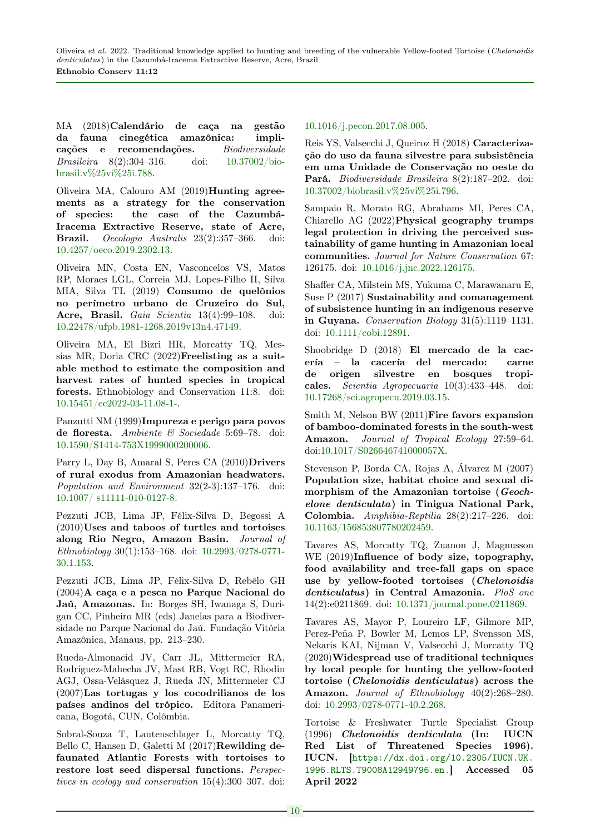MA (2018)Calendário de caça na gestão da fauna cinegética amazônica: implicações e recomendações. Biodiversidade Brasileira 8(2):304–316. doi: [10.37002/bio](https://doi.org/10.37002/biobrasil.v%25vi%25i.788)[brasil.v%25vi%25i.788.](https://doi.org/10.37002/biobrasil.v%25vi%25i.788)

Oliveira MA, Calouro AM (2019)Hunting agreements as a strategy for the conservation of species: the case of the Cazumbá-Iracema Extractive Reserve, state of Acre, Brazil. Oecologia Australis 23(2):357–366. doi: [10.4257/oeco.2019.2302.13.](https://doi.org/10.4257/oeco.2019.2302.13)

Oliveira MN, Costa EN, Vasconcelos VS, Matos RP, Moraes LGL, Correia MJ, Lopes-Filho II, Silva MIA, Silva TL (2019) Consumo de quelônios no perímetro urbano de Cruzeiro do Sul, Acre, Brasil. Gaia Scientia 13(4):99–108. doi: [10.22478/ufpb.1981-1268.2019v13n4.47149.](doi.org/10.22478/ufpb.1981-1268.2019v13n4.47149)

Oliveira MA, El Bizri HR, Morcatty TQ, Messias MR, Doria CRC (2022)Freelisting as a suitable method to estimate the composition and harvest rates of hunted species in tropical forests. Ethnobiology and Conservation 11:8. doi: [10.15451/ec2022-03-11.08-1-.](https://doi.org/10.15451/ec2022-03-11.08-1-)

Panzutti NM (1999)Impureza e perigo para povos de floresta. Ambiente & Sociedade 5:69–78. doi: [10.1590/S1414-753X1999000200006.](https://doi.org/10.1590/S1414-753X1999000200006)

Parry L, Day B, Amaral S, Peres CA (2010)Drivers of rural exodus from Amazonian headwaters. Population and Environment 32(2-3):137–176. doi: [10.1007/ s11111-010-0127-8.](https://doi.org/10.1007/ s11111-010-0127-8)

Pezzuti JCB, Lima JP, Félix-Silva D, Begossi A (2010)Uses and taboos of turtles and tortoises along Rio Negro, Amazon Basin. Journal of Ethnobiology 30(1):153–168. doi: [10.2993/0278-0771-](https://doi.org/10.2993/0278-0771-30.1.153) [30.1.153.](https://doi.org/10.2993/0278-0771-30.1.153)

Pezzuti JCB, Lima JP, Félix-Silva D, Rebêlo GH (2004)A caça e a pesca no Parque Nacional do Jaú, Amazonas. In: Borges SH, Iwanaga S, Durigan CC, Pinheiro MR (eds) Janelas para a Biodiversidade no Parque Nacional do Jaú. Fundação Vitória Amazônica, Manaus, pp. 213–230.

Rueda-Almonacid JV, Carr JL, Mittermeier RA, Rodriguez-Mahecha JV, Mast RB, Vogt RC, Rhodin AGJ, Ossa-Velásquez J, Rueda JN, Mittermeier CJ (2007)Las tortugas y los cocodrilianos de los países andinos del trópico. Editora Panamericana, Bogotá, CUN, Colômbia.

Sobral-Souza T, Lautenschlager L, Morcatty TQ, Bello C, Hansen D, Galetti M (2017)Rewilding defaunated Atlantic Forests with tortoises to restore lost seed dispersal functions. Perspectives in ecology and conservation 15(4):300–307. doi: [10.1016/j.pecon.2017.08.005.](https://doi.org/10.1016/j.pecon.2017.08.005)

Reis YS, Valsecchi J, Queiroz H (2018) Caracterização do uso da fauna silvestre para subsistência em uma Unidade de Conservação no oeste do Pará. Biodiversidade Brasileira 8(2):187–202. doi: [10.37002/biobrasil.v%25vi%25i.796.](https://doi.org/10.37002/biobrasil.v%25vi%25i.796)

Sampaio R, Morato RG, Abrahams MI, Peres CA, Chiarello AG (2022)Physical geography trumps legal protection in driving the perceived sustainability of game hunting in Amazonian local communities. Journal for Nature Conservation 67: 126175. doi: [10.1016/j.jnc.2022.126175.](https://doi.org/10.1016/j.jnc.2022.126175)

Shaffer CA, Milstein MS, Yukuma C, Marawanaru E, Suse P (2017) Sustainability and comanagement of subsistence hunting in an indigenous reserve in Guyana. Conservation Biology 31(5):1119–1131. doi: [10.1111/cobi.12891.](https://doi.org/10.1111/cobi.12891)

Shoobridge D (2018) El mercado de la cacería – la cacería del mercado: carne de origen silvestre en bosques tropicales. Scientia Agropecuaria 10(3):433–448. doi: [10.17268/sci.agropecu.2019.03.15.](https://doi.org/10.17268/sci.agropecu.2019.03.15)

Smith M, Nelson BW (2011)Fire favors expansion of bamboo-dominated forests in the south-west Amazon. Journal of Tropical Ecology 27:59-64. doi[:10.1017/S026646741000057X.](https://doi.org/10.1017/S026646741000057X)

Stevenson P, Borda CA, Rojas A, Álvarez M (2007) Population size, habitat choice and sexual dimorphism of the Amazonian tortoise (Geochelone denticulata) in Tinigua National Park, Colombia. Amphibia-Reptilia 28(2):217–226. doi: [10.1163/156853807780202459.](https://doi.org/10.1163/156853807780202459)

Tavares AS, Morcatty TQ, Zuanon J, Magnusson WE (2019)Influence of body size, topography, food availability and tree-fall gaps on space use by yellow-footed tortoises (Chelonoidis denticulatus) in Central Amazonia. PloS one 14(2):e0211869. doi: [10.1371/journal.pone.0211869.](https://doi.org/10.1371/journal.pone.0211869)

Tavares AS, Mayor P, Loureiro LF, Gilmore MP, Perez-Peña P, Bowler M, Lemos LP, Svensson MS, Nekaris KAI, Nijman V, Valsecchi J, Morcatty TQ (2020)Widespread use of traditional techniques by local people for hunting the yellow-footed tortoise (Chelonoidis denticulatus) across the Amazon. Journal of Ethnobiology 40(2):268–280. doi: [10.2993/0278-0771-40.2.268.](https://doi.org/10.2993/0278-0771-40.2.268)

Tortoise & Freshwater Turtle Specialist Group (1996) Chelonoidis denticulata (In: IUCN Red List of Threatened Species 1996). IUCN. [[https://dx.doi.org/10.2305/IUCN.UK.](https://dx.doi.org/10.2305/IUCN.UK.1996.RLTS.T9008A12949796.en.) [1996.RLTS.T9008A12949796.en.](https://dx.doi.org/10.2305/IUCN.UK.1996.RLTS.T9008A12949796.en.)] Accessed 05 April 2022